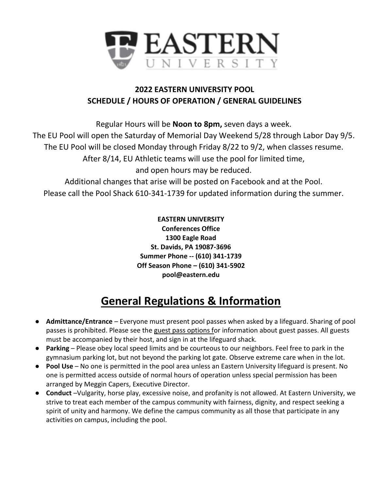

## **2022 EASTERN UNIVERSITY POOL SCHEDULE / HOURS OF OPERATION / GENERAL GUIDELINES**

Regular Hours will be **Noon to 8pm,** seven days a week. The EU Pool will open the Saturday of Memorial Day Weekend 5/28 through Labor Day 9/5. The EU Pool will be closed Monday through Friday 8/22 to 9/2, when classes resume. After 8/14, EU Athletic teams will use the pool for limited time, and open hours may be reduced.

Additional changes that arise will be posted on Facebook and at the Pool. Please call the Pool Shack 610-341-1739 for updated information during the summer.

> **EASTERN UNIVERSITY Conferences Office 1300 Eagle Road St. Davids, PA 19087-3696 Summer Phone -- (610) 341-1739 Off Season Phone – (610) 341-5902 pool@eastern.edu**

## **General Regulations & Information**

- **Admittance/Entrance**  Everyone must present pool passes when asked by a lifeguard. Sharing of pool passes is prohibited. Please see the guest pass options for information about guest passes. All guests must be accompanied by their host, and sign in at the lifeguard shack.
- **Parking**  Please obey local speed limits and be courteous to our neighbors. Feel free to park in the gymnasium parking lot, but not beyond the parking lot gate. Observe extreme care when in the lot.
- **Pool Use**  No one is permitted in the pool area unless an Eastern University lifeguard is present. No one is permitted access outside of normal hours of operation unless special permission has been arranged by Meggin Capers, Executive Director.
- **Conduct** –Vulgarity, horse play, excessive noise, and profanity is not allowed. At Eastern University, we strive to treat each member of the campus community with fairness, dignity, and respect seeking a spirit of unity and harmony. We define the campus community as all those that participate in any activities on campus, including the pool.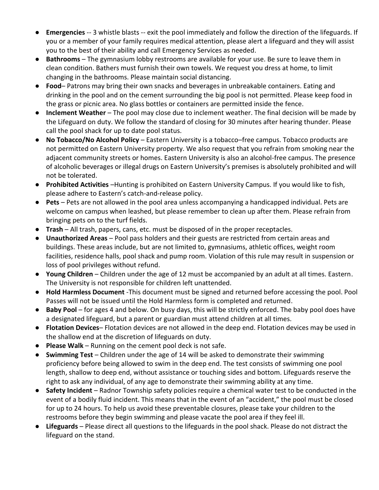- **Emergencies** -- 3 whistle blasts -- exit the pool immediately and follow the direction of the lifeguards. If you or a member of your family requires medical attention, please alert a lifeguard and they will assist you to the best of their ability and call Emergency Services as needed.
- **Bathrooms**  The gymnasium lobby restrooms are available for your use. Be sure to leave them in clean condition. Bathers must furnish their own towels. We request you dress at home, to limit changing in the bathrooms. Please maintain social distancing.
- **Food** Patrons may bring their own snacks and beverages in unbreakable containers. Eating and drinking in the pool and on the cement surrounding the big pool is not permitted. Please keep food in the grass or picnic area. No glass bottles or containers are permitted inside the fence.
- **Inclement Weather**  The pool may close due to inclement weather. The final decision will be made by the Lifeguard on duty. We follow the standard of closing for 30 minutes after hearing thunder. Please call the pool shack for up to date pool status.
- **No Tobacco/No Alcohol Policy**  Eastern University is a tobacco–free campus. Tobacco products are not permitted on Eastern University property. We also request that you refrain from smoking near the adjacent community streets or homes. Eastern University is also an alcohol-free campus. The presence of alcoholic beverages or illegal drugs on Eastern University's premises is absolutely prohibited and will not be tolerated.
- **Prohibited Activities** –Hunting is prohibited on Eastern University Campus. If you would like to fish, please adhere to Eastern's catch-and-release policy.
- **Pets**  Pets are not allowed in the pool area unless accompanying a handicapped individual. Pets are welcome on campus when leashed, but please remember to clean up after them. Please refrain from bringing pets on to the turf fields.
- **Trash**  All trash, papers, cans, etc. must be disposed of in the proper receptacles.
- **Unauthorized Areas**  Pool pass holders and their guests are restricted from certain areas and buildings. These areas include, but are not limited to, gymnasiums, athletic offices, weight room facilities, residence halls, pool shack and pump room. Violation of this rule may result in suspension or loss of pool privileges without refund.
- **Young Children**  Children under the age of 12 must be accompanied by an adult at all times. Eastern. The University is not responsible for children left unattended.
- **Hold Harmless Document** -This document must be signed and returned before accessing the pool. Pool Passes will not be issued until the Hold Harmless form is completed and returned.
- **Baby Pool** for ages 4 and below. On busy days, this will be strictly enforced. The baby pool does have a designated lifeguard, but a parent or guardian must attend children at all times.
- **Flotation Devices** Flotation devices are not allowed in the deep end. Flotation devices may be used in the shallow end at the discretion of lifeguards on duty.
- **Please Walk**  Running on the cement pool deck is not safe.
- **Swimming Test**  Children under the age of 14 will be asked to demonstrate their swimming proficiency before being allowed to swim in the deep end. The test consists of swimming one pool length, shallow to deep end, without assistance or touching sides and bottom. Lifeguards reserve the right to ask any individual, of any age to demonstrate their swimming ability at any time.
- **Safety Incident**  Radnor Township safety policies require a chemical water test to be conducted in the event of a bodily fluid incident. This means that in the event of an "accident," the pool must be closed for up to 24 hours. To help us avoid these preventable closures, please take your children to the restrooms before they begin swimming and please vacate the pool area if they feel ill.
- **Lifeguards**  Please direct all questions to the lifeguards in the pool shack. Please do not distract the lifeguard on the stand.